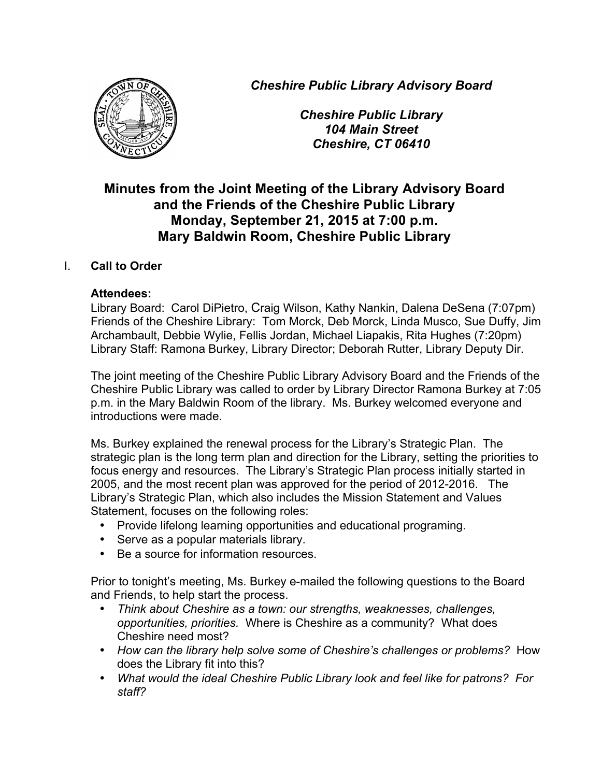*Cheshire Public Library Advisory Board*



*Cheshire Public Library 104 Main Street Cheshire, CT 06410*

# **Minutes from the Joint Meeting of the Library Advisory Board and the Friends of the Cheshire Public Library Monday, September 21, 2015 at 7:00 p.m. Mary Baldwin Room, Cheshire Public Library**

# I. **Call to Order**

### **Attendees:**

Library Board: Carol DiPietro, Craig Wilson, Kathy Nankin, Dalena DeSena (7:07pm) Friends of the Cheshire Library: Tom Morck, Deb Morck, Linda Musco, Sue Duffy, Jim Archambault, Debbie Wylie, Fellis Jordan, Michael Liapakis, Rita Hughes (7:20pm) Library Staff: Ramona Burkey, Library Director; Deborah Rutter, Library Deputy Dir.

The joint meeting of the Cheshire Public Library Advisory Board and the Friends of the Cheshire Public Library was called to order by Library Director Ramona Burkey at 7:05 p.m. in the Mary Baldwin Room of the library. Ms. Burkey welcomed everyone and introductions were made.

Ms. Burkey explained the renewal process for the Library's Strategic Plan. The strategic plan is the long term plan and direction for the Library, setting the priorities to focus energy and resources. The Library's Strategic Plan process initially started in 2005, and the most recent plan was approved for the period of 2012-2016. The Library's Strategic Plan, which also includes the Mission Statement and Values Statement, focuses on the following roles:

- Provide lifelong learning opportunities and educational programing.
- Serve as a popular materials library.
- Be a source for information resources.

Prior to tonight's meeting, Ms. Burkey e-mailed the following questions to the Board and Friends, to help start the process.

- *Think about Cheshire as a town: our strengths, weaknesses, challenges, opportunities, priorities.* Where is Cheshire as a community? What does Cheshire need most?
- *How can the library help solve some of Cheshire's challenges or problems?* How does the Library fit into this?
- *What would the ideal Cheshire Public Library look and feel like for patrons? For staff?*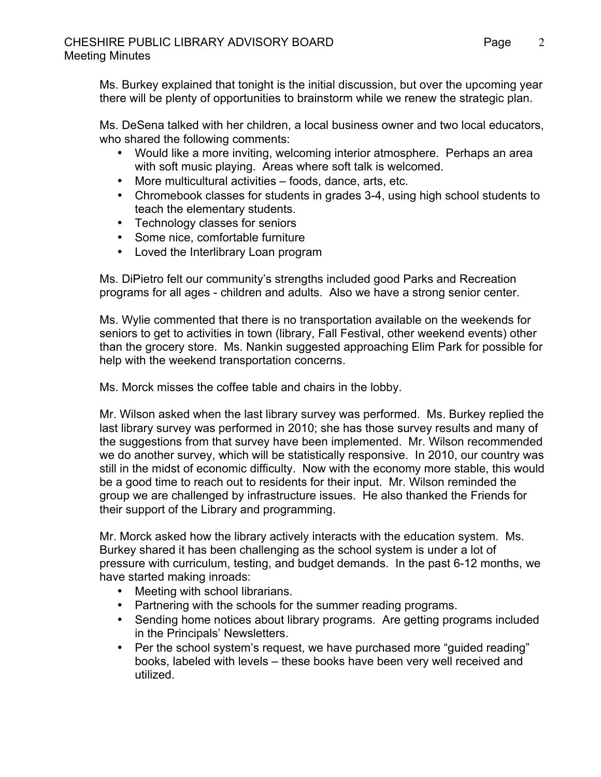Ms. Burkey explained that tonight is the initial discussion, but over the upcoming year there will be plenty of opportunities to brainstorm while we renew the strategic plan.

Ms. DeSena talked with her children, a local business owner and two local educators, who shared the following comments:

- Would like a more inviting, welcoming interior atmosphere. Perhaps an area with soft music playing. Areas where soft talk is welcomed.
- More multicultural activities foods, dance, arts, etc.
- Chromebook classes for students in grades 3-4, using high school students to teach the elementary students.
- Technology classes for seniors
- Some nice, comfortable furniture
- Loved the Interlibrary Loan program

Ms. DiPietro felt our community's strengths included good Parks and Recreation programs for all ages - children and adults. Also we have a strong senior center.

Ms. Wylie commented that there is no transportation available on the weekends for seniors to get to activities in town (library, Fall Festival, other weekend events) other than the grocery store. Ms. Nankin suggested approaching Elim Park for possible for help with the weekend transportation concerns.

Ms. Morck misses the coffee table and chairs in the lobby.

Mr. Wilson asked when the last library survey was performed. Ms. Burkey replied the last library survey was performed in 2010; she has those survey results and many of the suggestions from that survey have been implemented. Mr. Wilson recommended we do another survey, which will be statistically responsive. In 2010, our country was still in the midst of economic difficulty. Now with the economy more stable, this would be a good time to reach out to residents for their input. Mr. Wilson reminded the group we are challenged by infrastructure issues. He also thanked the Friends for their support of the Library and programming.

Mr. Morck asked how the library actively interacts with the education system. Ms. Burkey shared it has been challenging as the school system is under a lot of pressure with curriculum, testing, and budget demands. In the past 6-12 months, we have started making inroads:

- Meeting with school librarians.
- Partnering with the schools for the summer reading programs.
- Sending home notices about library programs. Are getting programs included in the Principals' Newsletters.
- Per the school system's request, we have purchased more "guided reading" books, labeled with levels – these books have been very well received and utilized.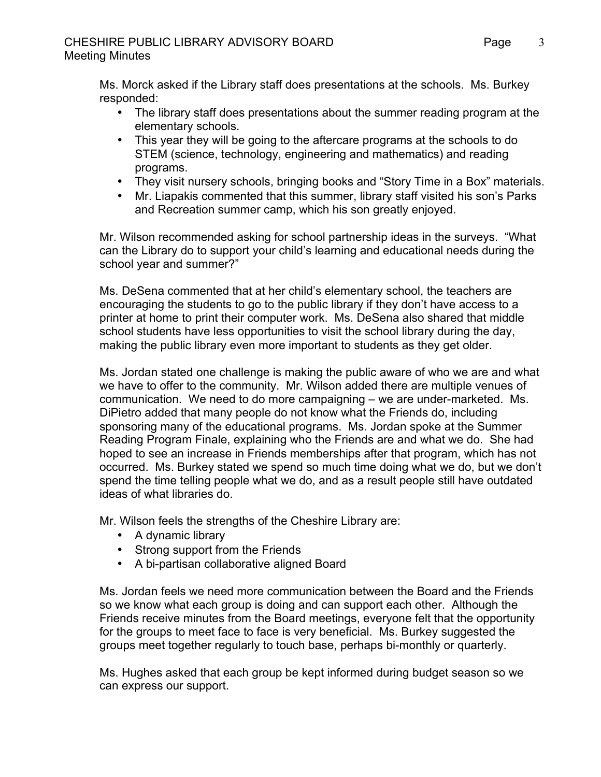Ms. Morck asked if the Library staff does presentations at the schools. Ms. Burkey responded:

- The library staff does presentations about the summer reading program at the elementary schools.
- This year they will be going to the aftercare programs at the schools to do STEM (science, technology, engineering and mathematics) and reading programs.
- They visit nursery schools, bringing books and "Story Time in a Box" materials.
- Mr. Liapakis commented that this summer, library staff visited his son's Parks and Recreation summer camp, which his son greatly enjoyed.

Mr. Wilson recommended asking for school partnership ideas in the surveys. "What can the Library do to support your child's learning and educational needs during the school year and summer?"

Ms. DeSena commented that at her child's elementary school, the teachers are encouraging the students to go to the public library if they don't have access to a printer at home to print their computer work. Ms. DeSena also shared that middle school students have less opportunities to visit the school library during the day, making the public library even more important to students as they get older.

Ms. Jordan stated one challenge is making the public aware of who we are and what we have to offer to the community. Mr. Wilson added there are multiple venues of communication. We need to do more campaigning – we are under-marketed. Ms. DiPietro added that many people do not know what the Friends do, including sponsoring many of the educational programs. Ms. Jordan spoke at the Summer Reading Program Finale, explaining who the Friends are and what we do. She had hoped to see an increase in Friends memberships after that program, which has not occurred. Ms. Burkey stated we spend so much time doing what we do, but we don't spend the time telling people what we do, and as a result people still have outdated ideas of what libraries do.

Mr. Wilson feels the strengths of the Cheshire Library are:

- A dynamic library
- Strong support from the Friends
- A bi-partisan collaborative aligned Board

Ms. Jordan feels we need more communication between the Board and the Friends so we know what each group is doing and can support each other. Although the Friends receive minutes from the Board meetings, everyone felt that the opportunity for the groups to meet face to face is very beneficial. Ms. Burkey suggested the groups meet together regularly to touch base, perhaps bi-monthly or quarterly.

Ms. Hughes asked that each group be kept informed during budget season so we can express our support.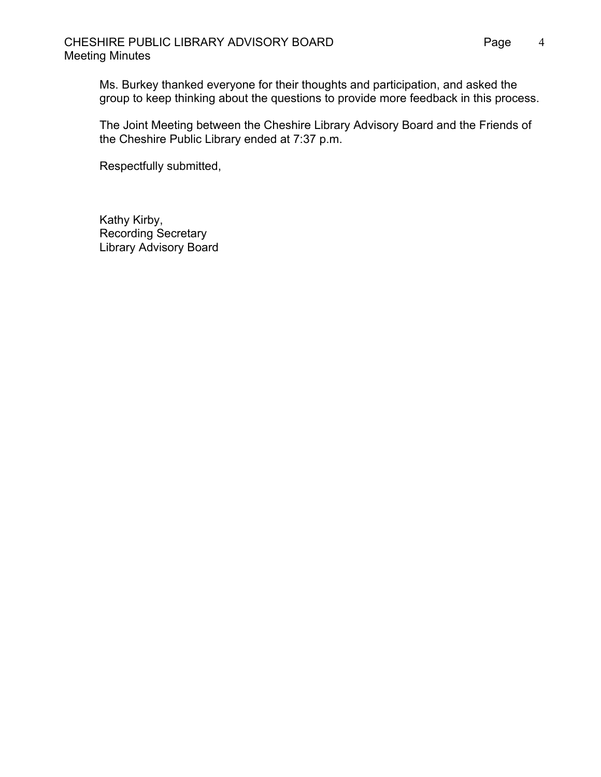Ms. Burkey thanked everyone for their thoughts and participation, and asked the group to keep thinking about the questions to provide more feedback in this process.

The Joint Meeting between the Cheshire Library Advisory Board and the Friends of the Cheshire Public Library ended at 7:37 p.m.

Respectfully submitted,

Kathy Kirby, Recording Secretary Library Advisory Board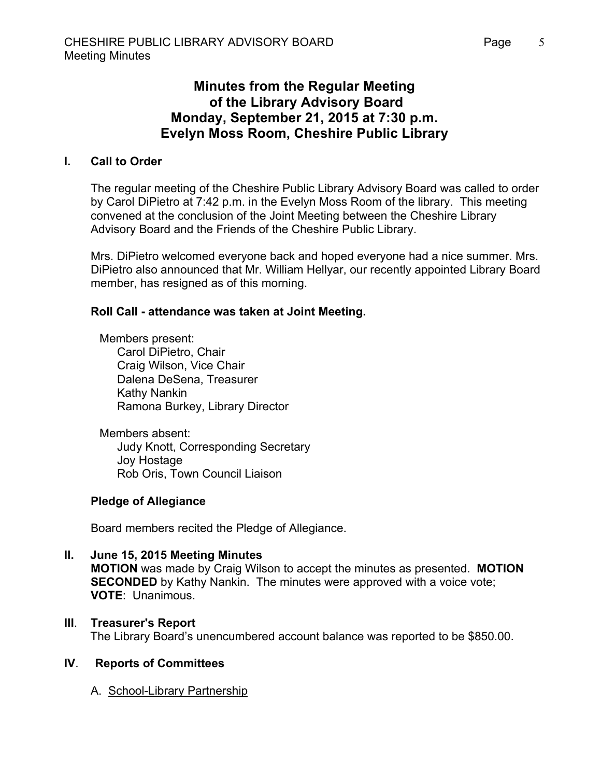# **Minutes from the Regular Meeting of the Library Advisory Board Monday, September 21, 2015 at 7:30 p.m. Evelyn Moss Room, Cheshire Public Library**

## **I. Call to Order**

The regular meeting of the Cheshire Public Library Advisory Board was called to order by Carol DiPietro at 7:42 p.m. in the Evelyn Moss Room of the library. This meeting convened at the conclusion of the Joint Meeting between the Cheshire Library Advisory Board and the Friends of the Cheshire Public Library.

Mrs. DiPietro welcomed everyone back and hoped everyone had a nice summer. Mrs. DiPietro also announced that Mr. William Hellyar, our recently appointed Library Board member, has resigned as of this morning.

## **Roll Call - attendance was taken at Joint Meeting.**

Members present: Carol DiPietro, Chair Craig Wilson, Vice Chair Dalena DeSena, Treasurer Kathy Nankin Ramona Burkey, Library Director

Members absent: Judy Knott, Corresponding Secretary Joy Hostage Rob Oris, Town Council Liaison

### **Pledge of Allegiance**

Board members recited the Pledge of Allegiance.

**II. June 15, 2015 Meeting Minutes MOTION** was made by Craig Wilson to accept the minutes as presented. **MOTION SECONDED** by Kathy Nankin. The minutes were approved with a voice vote; **VOTE**: Unanimous.

### **III**. **Treasurer's Report**

The Library Board's unencumbered account balance was reported to be \$850.00.

### **IV**. **Reports of Committees**

A. School-Library Partnership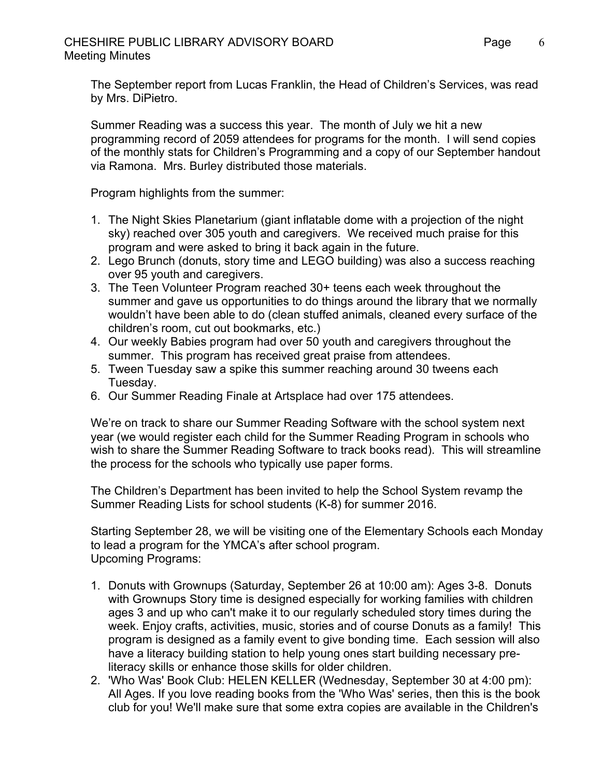The September report from Lucas Franklin, the Head of Children's Services, was read by Mrs. DiPietro.

Summer Reading was a success this year. The month of July we hit a new programming record of 2059 attendees for programs for the month. I will send copies of the monthly stats for Children's Programming and a copy of our September handout via Ramona. Mrs. Burley distributed those materials.

Program highlights from the summer:

- 1. The Night Skies Planetarium (giant inflatable dome with a projection of the night sky) reached over 305 youth and caregivers. We received much praise for this program and were asked to bring it back again in the future.
- 2. Lego Brunch (donuts, story time and LEGO building) was also a success reaching over 95 youth and caregivers.
- 3. The Teen Volunteer Program reached 30+ teens each week throughout the summer and gave us opportunities to do things around the library that we normally wouldn't have been able to do (clean stuffed animals, cleaned every surface of the children's room, cut out bookmarks, etc.)
- 4. Our weekly Babies program had over 50 youth and caregivers throughout the summer. This program has received great praise from attendees.
- 5. Tween Tuesday saw a spike this summer reaching around 30 tweens each Tuesday.
- 6. Our Summer Reading Finale at Artsplace had over 175 attendees.

We're on track to share our Summer Reading Software with the school system next year (we would register each child for the Summer Reading Program in schools who wish to share the Summer Reading Software to track books read). This will streamline the process for the schools who typically use paper forms.

The Children's Department has been invited to help the School System revamp the Summer Reading Lists for school students (K-8) for summer 2016.

Starting September 28, we will be visiting one of the Elementary Schools each Monday to lead a program for the YMCA's after school program. Upcoming Programs:

- 1. Donuts with Grownups (Saturday, September 26 at 10:00 am): Ages 3-8. Donuts with Grownups Story time is designed especially for working families with children ages 3 and up who can't make it to our regularly scheduled story times during the week. Enjoy crafts, activities, music, stories and of course Donuts as a family! This program is designed as a family event to give bonding time. Each session will also have a literacy building station to help young ones start building necessary preliteracy skills or enhance those skills for older children.
- 2. 'Who Was' Book Club: HELEN KELLER (Wednesday, September 30 at 4:00 pm): All Ages. If you love reading books from the 'Who Was' series, then this is the book club for you! We'll make sure that some extra copies are available in the Children's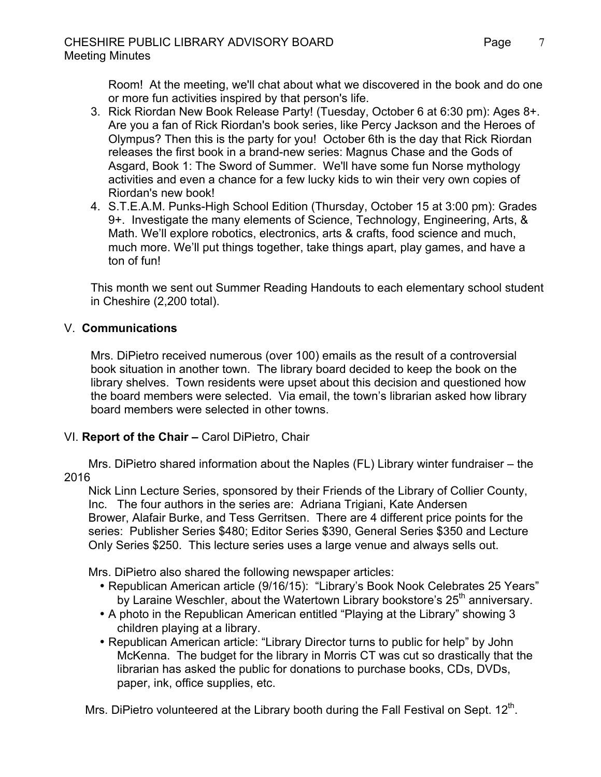Room! At the meeting, we'll chat about what we discovered in the book and do one or more fun activities inspired by that person's life.

- 3. Rick Riordan New Book Release Party! (Tuesday, October 6 at 6:30 pm): Ages 8+. Are you a fan of Rick Riordan's book series, like Percy Jackson and the Heroes of Olympus? Then this is the party for you! October 6th is the day that Rick Riordan releases the first book in a brand-new series: Magnus Chase and the Gods of Asgard, Book 1: The Sword of Summer. We'll have some fun Norse mythology activities and even a chance for a few lucky kids to win their very own copies of Riordan's new book!
- 4. S.T.E.A.M. Punks-High School Edition (Thursday, October 15 at 3:00 pm): Grades 9+. Investigate the many elements of Science, Technology, Engineering, Arts, & Math. We'll explore robotics, electronics, arts & crafts, food science and much, much more. We'll put things together, take things apart, play games, and have a ton of fun!

This month we sent out Summer Reading Handouts to each elementary school student in Cheshire (2,200 total).

# V. **Communications**

Mrs. DiPietro received numerous (over 100) emails as the result of a controversial book situation in another town. The library board decided to keep the book on the library shelves. Town residents were upset about this decision and questioned how the board members were selected. Via email, the town's librarian asked how library board members were selected in other towns.

# VI. **Report of the Chair –** Carol DiPietro, Chair

 Mrs. DiPietro shared information about the Naples (FL) Library winter fundraiser – the 2016

Nick Linn Lecture Series, sponsored by their Friends of the Library of Collier County, Inc. The four authors in the series are: Adriana Trigiani, Kate Andersen Brower, Alafair Burke, and Tess Gerritsen. There are 4 different price points for the series: Publisher Series \$480; Editor Series \$390, General Series \$350 and Lecture Only Series \$250. This lecture series uses a large venue and always sells out.

Mrs. DiPietro also shared the following newspaper articles:

- Republican American article (9/16/15): "Library's Book Nook Celebrates 25 Years" by Laraine Weschler, about the Watertown Library bookstore's  $25<sup>th</sup>$  anniversary.
- A photo in the Republican American entitled "Playing at the Library" showing 3 children playing at a library.
- Republican American article: "Library Director turns to public for help" by John McKenna. The budget for the library in Morris CT was cut so drastically that the librarian has asked the public for donations to purchase books, CDs, DVDs, paper, ink, office supplies, etc.

Mrs. DiPietro volunteered at the Library booth during the Fall Festival on Sept.  $12<sup>th</sup>$ .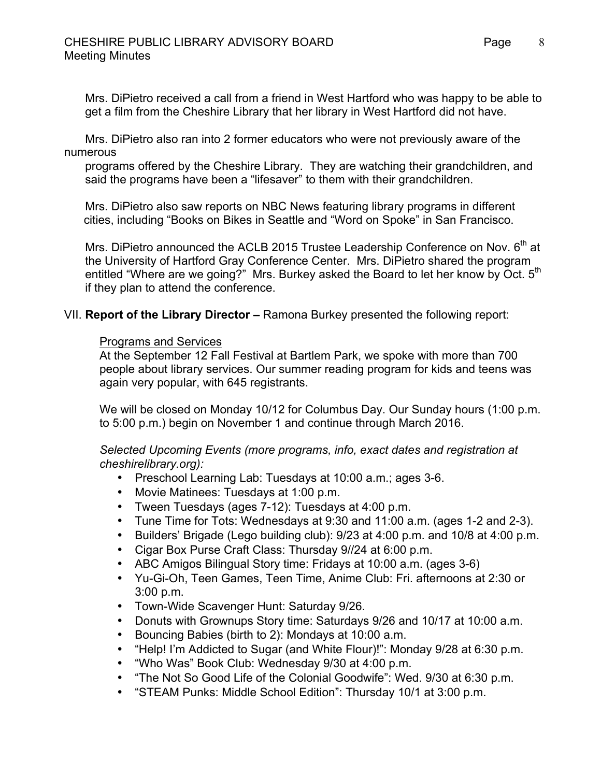Mrs. DiPietro received a call from a friend in West Hartford who was happy to be able to get a film from the Cheshire Library that her library in West Hartford did not have.

Mrs. DiPietro also ran into 2 former educators who were not previously aware of the numerous

programs offered by the Cheshire Library. They are watching their grandchildren, and said the programs have been a "lifesaver" to them with their grandchildren.

Mrs. DiPietro also saw reports on NBC News featuring library programs in different cities, including "Books on Bikes in Seattle and "Word on Spoke" in San Francisco.

Mrs. DiPietro announced the ACLB 2015 Trustee Leadership Conference on Nov.  $6<sup>th</sup>$  at the University of Hartford Gray Conference Center. Mrs. DiPietro shared the program entitled "Where are we going?" Mrs. Burkey asked the Board to let her know by Oct. 5<sup>th</sup> if they plan to attend the conference.

### VII. **Report of the Library Director –** Ramona Burkey presented the following report:

#### Programs and Services

At the September 12 Fall Festival at Bartlem Park, we spoke with more than 700 people about library services. Our summer reading program for kids and teens was again very popular, with 645 registrants.

We will be closed on Monday 10/12 for Columbus Day. Our Sunday hours (1:00 p.m. to 5:00 p.m.) begin on November 1 and continue through March 2016.

*Selected Upcoming Events (more programs, info, exact dates and registration at cheshirelibrary.org):*

- Preschool Learning Lab: Tuesdays at 10:00 a.m.; ages 3-6.
- Movie Matinees: Tuesdays at 1:00 p.m.
- Tween Tuesdays (ages 7-12): Tuesdays at 4:00 p.m.
- Tune Time for Tots: Wednesdays at 9:30 and 11:00 a.m. (ages 1-2 and 2-3).
- Builders' Brigade (Lego building club): 9/23 at 4:00 p.m. and 10/8 at 4:00 p.m.
- Cigar Box Purse Craft Class: Thursday 9//24 at 6:00 p.m.
- ABC Amigos Bilingual Story time: Fridays at 10:00 a.m. (ages 3-6)
- Yu-Gi-Oh, Teen Games, Teen Time, Anime Club: Fri. afternoons at 2:30 or 3:00 p.m.
- Town-Wide Scavenger Hunt: Saturday 9/26.
- Donuts with Grownups Story time: Saturdays 9/26 and 10/17 at 10:00 a.m.
- Bouncing Babies (birth to 2): Mondays at 10:00 a.m.
- "Help! I'm Addicted to Sugar (and White Flour)!": Monday 9/28 at 6:30 p.m.
- "Who Was" Book Club: Wednesday 9/30 at 4:00 p.m.
- "The Not So Good Life of the Colonial Goodwife": Wed. 9/30 at 6:30 p.m.
- "STEAM Punks: Middle School Edition": Thursday 10/1 at 3:00 p.m.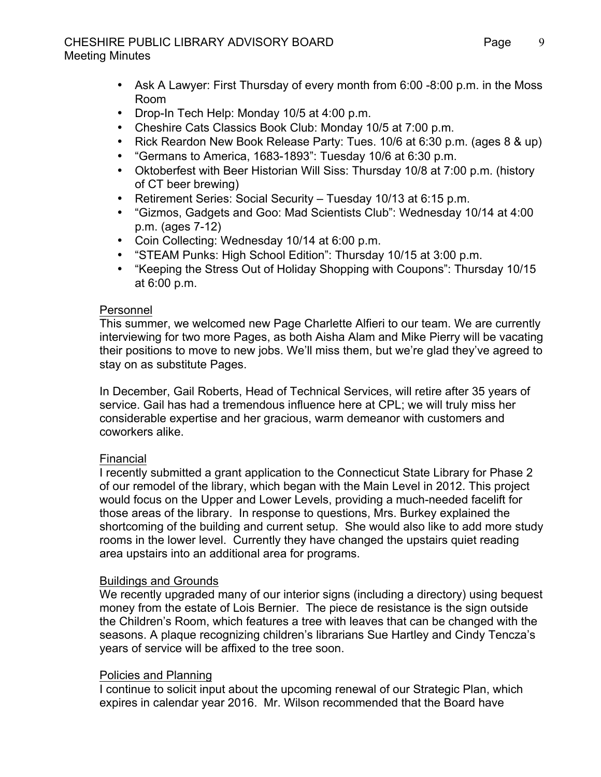## CHESHIRE PUBLIC LIBRARY ADVISORY BOARD Page Meeting Minutes

- Ask A Lawyer: First Thursday of every month from 6:00 -8:00 p.m. in the Moss Room
- Drop-In Tech Help: Monday 10/5 at 4:00 p.m.
- Cheshire Cats Classics Book Club: Monday 10/5 at 7:00 p.m.
- Rick Reardon New Book Release Party: Tues. 10/6 at 6:30 p.m. (ages 8 & up)
- "Germans to America, 1683-1893": Tuesday 10/6 at 6:30 p.m.
- Oktoberfest with Beer Historian Will Siss: Thursday 10/8 at 7:00 p.m. (history of CT beer brewing)
- Retirement Series: Social Security Tuesday 10/13 at 6:15 p.m.
- "Gizmos, Gadgets and Goo: Mad Scientists Club": Wednesday 10/14 at 4:00 p.m. (ages 7-12)
- Coin Collecting: Wednesday 10/14 at 6:00 p.m.
- "STEAM Punks: High School Edition": Thursday 10/15 at 3:00 p.m.
- "Keeping the Stress Out of Holiday Shopping with Coupons": Thursday 10/15 at 6:00 p.m.

# Personnel

This summer, we welcomed new Page Charlette Alfieri to our team. We are currently interviewing for two more Pages, as both Aisha Alam and Mike Pierry will be vacating their positions to move to new jobs. We'll miss them, but we're glad they've agreed to stay on as substitute Pages.

In December, Gail Roberts, Head of Technical Services, will retire after 35 years of service. Gail has had a tremendous influence here at CPL; we will truly miss her considerable expertise and her gracious, warm demeanor with customers and coworkers alike.

# Financial

I recently submitted a grant application to the Connecticut State Library for Phase 2 of our remodel of the library, which began with the Main Level in 2012. This project would focus on the Upper and Lower Levels, providing a much-needed facelift for those areas of the library. In response to questions, Mrs. Burkey explained the shortcoming of the building and current setup. She would also like to add more study rooms in the lower level. Currently they have changed the upstairs quiet reading area upstairs into an additional area for programs.

# Buildings and Grounds

We recently upgraded many of our interior signs (including a directory) using bequest money from the estate of Lois Bernier. The piece de resistance is the sign outside the Children's Room, which features a tree with leaves that can be changed with the seasons. A plaque recognizing children's librarians Sue Hartley and Cindy Tencza's years of service will be affixed to the tree soon.

# Policies and Planning

I continue to solicit input about the upcoming renewal of our Strategic Plan, which expires in calendar year 2016. Mr. Wilson recommended that the Board have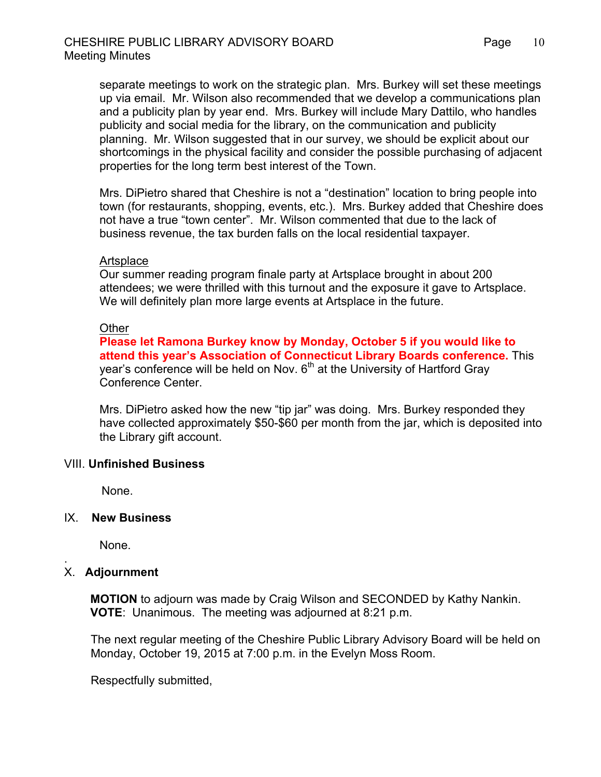separate meetings to work on the strategic plan. Mrs. Burkey will set these meetings up via email. Mr. Wilson also recommended that we develop a communications plan and a publicity plan by year end. Mrs. Burkey will include Mary Dattilo, who handles publicity and social media for the library, on the communication and publicity planning. Mr. Wilson suggested that in our survey, we should be explicit about our shortcomings in the physical facility and consider the possible purchasing of adjacent properties for the long term best interest of the Town.

Mrs. DiPietro shared that Cheshire is not a "destination" location to bring people into town (for restaurants, shopping, events, etc.). Mrs. Burkey added that Cheshire does not have a true "town center". Mr. Wilson commented that due to the lack of business revenue, the tax burden falls on the local residential taxpayer.

#### **Artsplace**

Our summer reading program finale party at Artsplace brought in about 200 attendees; we were thrilled with this turnout and the exposure it gave to Artsplace. We will definitely plan more large events at Artsplace in the future.

#### **Other**

**Please let Ramona Burkey know by Monday, October 5 if you would like to attend this year's Association of Connecticut Library Boards conference.** This year's conference will be held on Nov.  $6<sup>th</sup>$  at the University of Hartford Gray Conference Center.

Mrs. DiPietro asked how the new "tip jar" was doing. Mrs. Burkey responded they have collected approximately \$50-\$60 per month from the jar, which is deposited into the Library gift account.

### VIII. **Unfinished Business**

None.

#### IX. **New Business**

None.

### X. **Adjournment**

.

 **MOTION** to adjourn was made by Craig Wilson and SECONDED by Kathy Nankin.  **VOTE**: Unanimous. The meeting was adjourned at 8:21 p.m.

The next regular meeting of the Cheshire Public Library Advisory Board will be held on Monday, October 19, 2015 at 7:00 p.m. in the Evelyn Moss Room.

Respectfully submitted,